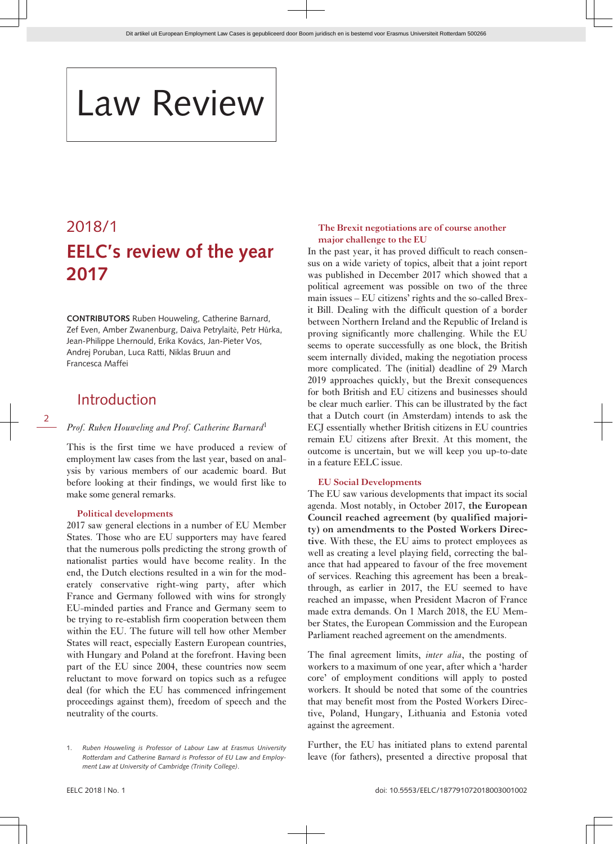# Law Review

## 2018/1 **EELC's review of the year 2017**

**CONTRIBUTORS** Ruben Houweling, Catherine Barnard, Zef Even, Amber Zwanenburg, Daiva Petrylaitė, Petr Hůrka, Jean-Philippe Lhernould, Erika Kovács, Jan-Pieter Vos, Andrej Poruban, Luca Ratti, Niklas Bruun and Francesca Maffei

### Introduction

#### 2

#### *Prof. Ruben Houweling and Prof. Catherine Barnard*<sup>1</sup>

This is the first time we have produced a review of employment law cases from the last year, based on analysis by various members of our academic board. But before looking at their findings, we would first like to make some general remarks.

#### **Political developments**

2017 saw general elections in a number of EU Member States. Those who are EU supporters may have feared that the numerous polls predicting the strong growth of nationalist parties would have become reality. In the end, the Dutch elections resulted in a win for the moderately conservative right-wing party, after which France and Germany followed with wins for strongly EU-minded parties and France and Germany seem to be trying to re-establish firm cooperation between them within the EU. The future will tell how other Member States will react, especially Eastern European countries, with Hungary and Poland at the forefront. Having been part of the EU since 2004, these countries now seem reluctant to move forward on topics such as a refugee deal (for which the EU has commenced infringement proceedings against them), freedom of speech and the neutrality of the courts.

#### **The Brexit negotiations are of course another major challenge to the EU**

In the past year, it has proved difficult to reach consensus on a wide variety of topics, albeit that a joint report was published in December 2017 which showed that a political agreement was possible on two of the three main issues – EU citizens' rights and the so-called Brexit Bill. Dealing with the difficult question of a border between Northern Ireland and the Republic of Ireland is proving significantly more challenging. While the EU seems to operate successfully as one block, the British seem internally divided, making the negotiation process more complicated. The (initial) deadline of 29 March 2019 approaches quickly, but the Brexit consequences for both British and EU citizens and businesses should be clear much earlier. This can be illustrated by the fact that a Dutch court (in Amsterdam) intends to ask the ECJ essentially whether British citizens in EU countries remain EU citizens after Brexit. At this moment, the outcome is uncertain, but we will keep you up-to-date in a feature EELC issue.

#### **EU Social Developments**

The EU saw various developments that impact its social agenda. Most notably, in October 2017, **the European Council reached agreement (by qualified majority) on amendments to the Posted Workers Directive**. With these, the EU aims to protect employees as well as creating a level playing field, correcting the balance that had appeared to favour of the free movement of services. Reaching this agreement has been a breakthrough, as earlier in 2017, the EU seemed to have reached an impasse, when President Macron of France made extra demands. On 1 March 2018, the EU Member States, the European Commission and the European Parliament reached agreement on the amendments.

The final agreement limits, *inter alia*, the posting of workers to a maximum of one year, after which a 'harder core' of employment conditions will apply to posted workers. It should be noted that some of the countries that may benefit most from the Posted Workers Directive, Poland, Hungary, Lithuania and Estonia voted against the agreement.

Further, the EU has initiated plans to extend parental leave (for fathers), presented a directive proposal that

<sup>1.</sup> *Ruben Houweling is Professor of Labour Law at Erasmus University Rotterdam and Catherine Barnard is Professor of EU Law and Employment Law at University of Cambridge (Trinity College)*.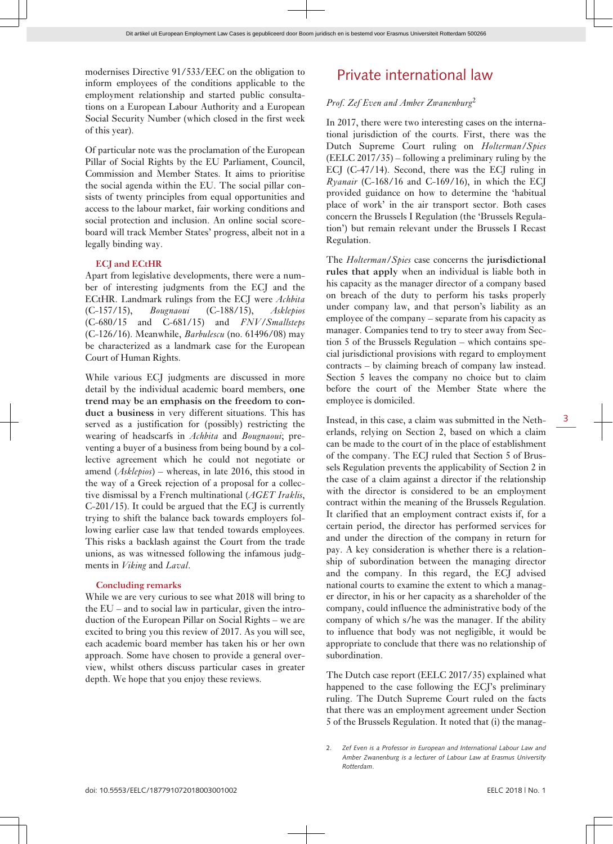modernises Directive 91/533/EEC on the obligation to inform employees of the conditions applicable to the employment relationship and started public consultations on a European Labour Authority and a European Social Security Number (which closed in the first week of this year).

Of particular note was the proclamation of the European Pillar of Social Rights by the EU Parliament, Council, Commission and Member States. It aims to prioritise the social agenda within the EU. The social pillar consists of twenty principles from equal opportunities and access to the labour market, fair working conditions and social protection and inclusion. An online social scoreboard will track Member States' progress, albeit not in a legally binding way.

#### **ECJ and ECtHR**

Apart from legislative developments, there were a number of interesting judgments from the ECJ and the ECtHR. Landmark rulings from the ECJ were *Achbita* (C-157/15), *Bougnaoui* (C-188/15), *Asklepios* (C-680/15 and C-681/15) and *FNV/Smallsteps* (C-126/16). Meanwhile, *Barbulescu* (no. 61496/08) may be characterized as a landmark case for the European Court of Human Rights.

While various ECJ judgments are discussed in more detail by the individual academic board members, **one trend may be an emphasis on the freedom to conduct a business** in very different situations. This has served as a justification for (possibly) restricting the wearing of headscarfs in *Achbita* and *Bougnaoui*; preventing a buyer of a business from being bound by a collective agreement which he could not negotiate or amend (*Asklepios*) – whereas, in late 2016, this stood in the way of a Greek rejection of a proposal for a collective dismissal by a French multinational (*AGET Iraklis*, C-201/15). It could be argued that the ECJ is currently trying to shift the balance back towards employers following earlier case law that tended towards employees. This risks a backlash against the Court from the trade unions, as was witnessed following the infamous judgments in *Viking* and *Laval*.

#### **Concluding remarks**

While we are very curious to see what 2018 will bring to the EU – and to social law in particular, given the introduction of the European Pillar on Social Rights – we are excited to bring you this review of 2017. As you will see, each academic board member has taken his or her own approach. Some have chosen to provide a general overview, whilst others discuss particular cases in greater depth. We hope that you enjoy these reviews.

### Private international law

#### *Prof. Zef Even and Amber Zwanenburg*<sup>2</sup>

In 2017, there were two interesting cases on the international jurisdiction of the courts. First, there was the Dutch Supreme Court ruling on *Holterman/Spies* (EELC 2017/35) – following a preliminary ruling by the ECJ (C-47/14). Second, there was the ECJ ruling in *Ryanair* (C-168/16 and C-169/16), in which the ECJ provided guidance on how to determine the 'habitual place of work' in the air transport sector. Both cases concern the Brussels I Regulation (the 'Brussels Regulation') but remain relevant under the Brussels I Recast Regulation.

The *Holterman/Spies* case concerns the **jurisdictional rules that apply** when an individual is liable both in his capacity as the manager director of a company based on breach of the duty to perform his tasks properly under company law, and that person's liability as an employee of the company – separate from his capacity as manager. Companies tend to try to steer away from Section 5 of the Brussels Regulation – which contains special jurisdictional provisions with regard to employment contracts – by claiming breach of company law instead. Section 5 leaves the company no choice but to claim before the court of the Member State where the employee is domiciled.

Instead, in this case, a claim was submitted in the Netherlands, relying on Section 2, based on which a claim can be made to the court of in the place of establishment of the company. The ECJ ruled that Section 5 of Brussels Regulation prevents the applicability of Section 2 in the case of a claim against a director if the relationship with the director is considered to be an employment contract within the meaning of the Brussels Regulation. It clarified that an employment contract exists if, for a certain period, the director has performed services for and under the direction of the company in return for pay. A key consideration is whether there is a relationship of subordination between the managing director and the company. In this regard, the ECJ advised national courts to examine the extent to which a manager director, in his or her capacity as a shareholder of the company, could influence the administrative body of the company of which s/he was the manager. If the ability to influence that body was not negligible, it would be appropriate to conclude that there was no relationship of subordination.

The Dutch case report (EELC 2017/35) explained what happened to the case following the ECJ's preliminary ruling. The Dutch Supreme Court ruled on the facts that there was an employment agreement under Section 5 of the Brussels Regulation. It noted that (i) the manag-

<sup>2.</sup> *Zef Even is a Professor in European and International Labour Law and Amber Zwanenburg is a lecturer of Labour Law at Erasmus University Rotterdam*.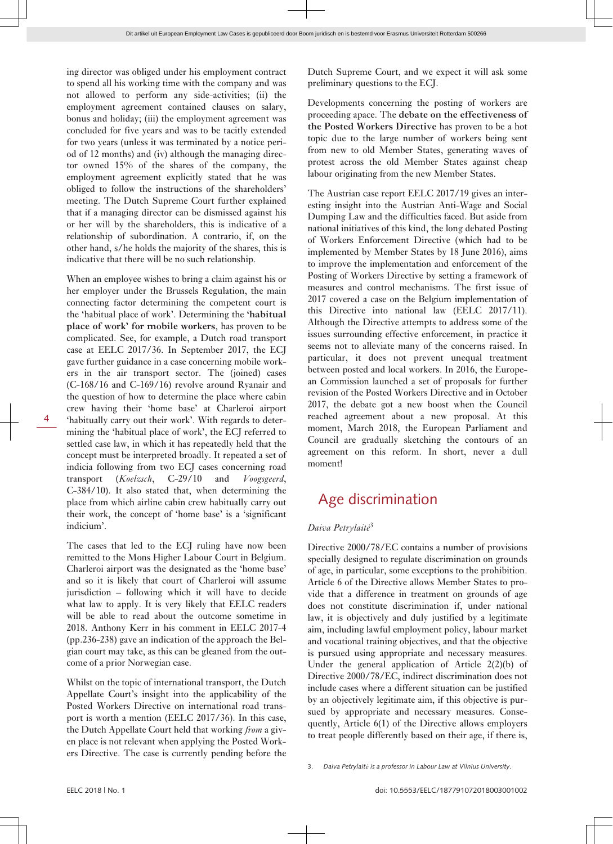ing director was obliged under his employment contract to spend all his working time with the company and was not allowed to perform any side-activities; (ii) the employment agreement contained clauses on salary, bonus and holiday; (iii) the employment agreement was concluded for five years and was to be tacitly extended for two years (unless it was terminated by a notice period of 12 months) and (iv) although the managing director owned 15% of the shares of the company, the employment agreement explicitly stated that he was obliged to follow the instructions of the shareholders' meeting. The Dutch Supreme Court further explained that if a managing director can be dismissed against his or her will by the shareholders, this is indicative of a relationship of subordination. A contrario, if, on the other hand, s/he holds the majority of the shares, this is indicative that there will be no such relationship.

When an employee wishes to bring a claim against his or her employer under the Brussels Regulation, the main connecting factor determining the competent court is the 'habitual place of work'. Determining the **'habitual place of work' for mobile workers**, has proven to be complicated. See, for example, a Dutch road transport case at EELC 2017/36. In September 2017, the ECJ gave further guidance in a case concerning mobile workers in the air transport sector. The (joined) cases (C-168/16 and C-169/16) revolve around Ryanair and the question of how to determine the place where cabin crew having their 'home base' at Charleroi airport 'habitually carry out their work'. With regards to determining the 'habitual place of work', the ECJ referred to settled case law, in which it has repeatedly held that the concept must be interpreted broadly. It repeated a set of indicia following from two ECJ cases concerning road transport (*Koelzsch*, C-29/10 and *Voogsgeerd*, C-384/10). It also stated that, when determining the place from which airline cabin crew habitually carry out their work, the concept of 'home base' is a 'significant indicium'.

The cases that led to the ECJ ruling have now been remitted to the Mons Higher Labour Court in Belgium. Charleroi airport was the designated as the 'home base' and so it is likely that court of Charleroi will assume jurisdiction – following which it will have to decide what law to apply. It is very likely that EELC readers will be able to read about the outcome sometime in 2018. Anthony Kerr in his comment in EELC 2017-4 (pp.236-238) gave an indication of the approach the Belgian court may take, as this can be gleaned from the outcome of a prior Norwegian case.

Whilst on the topic of international transport, the Dutch Appellate Court's insight into the applicability of the Posted Workers Directive on international road transport is worth a mention (EELC 2017/36). In this case, the Dutch Appellate Court held that working *from* a given place is not relevant when applying the Posted Workers Directive. The case is currently pending before the Dutch Supreme Court, and we expect it will ask some preliminary questions to the ECJ.

Developments concerning the posting of workers are proceeding apace. The **debate on the effectiveness of the Posted Workers Directive** has proven to be a hot topic due to the large number of workers being sent from new to old Member States, generating waves of protest across the old Member States against cheap labour originating from the new Member States.

The Austrian case report EELC 2017/19 gives an interesting insight into the Austrian Anti-Wage and Social Dumping Law and the difficulties faced. But aside from national initiatives of this kind, the long debated Posting of Workers Enforcement Directive (which had to be implemented by Member States by 18 June 2016), aims to improve the implementation and enforcement of the Posting of Workers Directive by setting a framework of measures and control mechanisms. The first issue of 2017 covered a case on the Belgium implementation of this Directive into national law (EELC 2017/11). Although the Directive attempts to address some of the issues surrounding effective enforcement, in practice it seems not to alleviate many of the concerns raised. In particular, it does not prevent unequal treatment between posted and local workers. In 2016, the European Commission launched a set of proposals for further revision of the Posted Workers Directive and in October 2017, the debate got a new boost when the Council reached agreement about a new proposal. At this moment, March 2018, the European Parliament and Council are gradually sketching the contours of an agreement on this reform. In short, never a dull moment!

### Age discrimination

#### *Daiva Petrylaitė*<sup>3</sup>

Directive 2000/78/EC contains a number of provisions specially designed to regulate discrimination on grounds of age, in particular, some exceptions to the prohibition. Article 6 of the Directive allows Member States to provide that a difference in treatment on grounds of age does not constitute discrimination if, under national law, it is objectively and duly justified by a legitimate aim, including lawful employment policy, labour market and vocational training objectives, and that the objective is pursued using appropriate and necessary measures. Under the general application of Article 2(2)(b) of Directive 2000/78/EC, indirect discrimination does not include cases where a different situation can be justified by an objectively legitimate aim, if this objective is pursued by appropriate and necessary measures. Consequently, Article 6(1) of the Directive allows employers to treat people differently based on their age, if there is,

3. *Daiva Petrylaitė is a professor in Labour Law at Vilnius University*.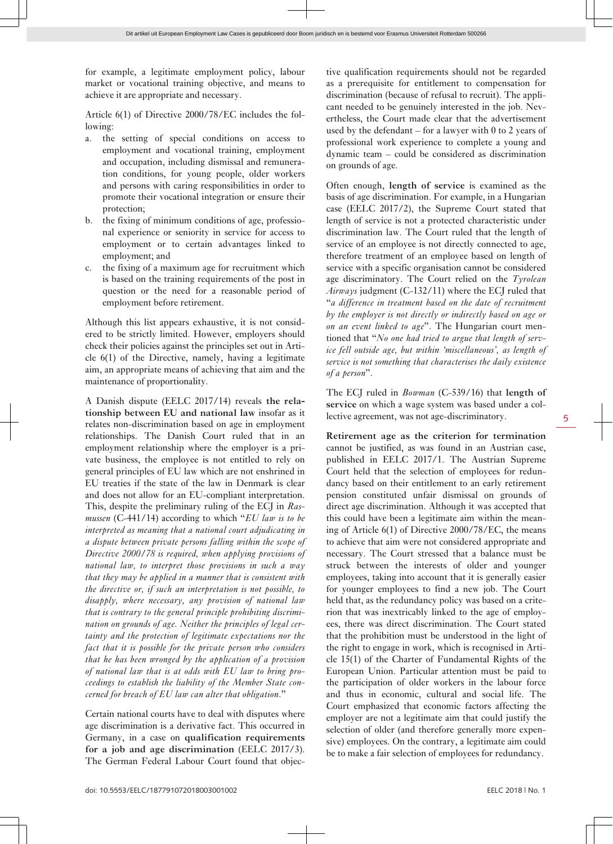for example, a legitimate employment policy, labour market or vocational training objective, and means to achieve it are appropriate and necessary.

Article 6(1) of Directive 2000/78/EC includes the following:

- a. the setting of special conditions on access to employment and vocational training, employment and occupation, including dismissal and remuneration conditions, for young people, older workers and persons with caring responsibilities in order to promote their vocational integration or ensure their protection;
- b. the fixing of minimum conditions of age, professional experience or seniority in service for access to employment or to certain advantages linked to employment; and
- c. the fixing of a maximum age for recruitment which is based on the training requirements of the post in question or the need for a reasonable period of employment before retirement.

Although this list appears exhaustive, it is not considered to be strictly limited. However, employers should check their policies against the principles set out in Article 6(1) of the Directive, namely, having a legitimate aim, an appropriate means of achieving that aim and the maintenance of proportionality.

A Danish dispute (EELC 2017/14) reveals **the relationship between EU and national law** insofar as it relates non-discrimination based on age in employment relationships. The Danish Court ruled that in an employment relationship where the employer is a private business, the employee is not entitled to rely on general principles of EU law which are not enshrined in EU treaties if the state of the law in Denmark is clear and does not allow for an EU-compliant interpretation. This, despite the preliminary ruling of the ECJ in *Rasmussen* (C-441/14) according to which "*EU law is to be interpreted as meaning that a national court adjudicating in a dispute between private persons falling within the scope of Directive 2000/78 is required, when applying provisions of national law, to interpret those provisions in such a way that they may be applied in a manner that is consistent with the directive or, if such an interpretation is not possible, to disapply, where necessary, any provision of national law that is contrary to the general principle prohibiting discrimination on grounds of age. Neither the principles of legal certainty and the protection of legitimate expectations nor the fact that it is possible for the private person who considers that he has been wronged by the application of a provision of national law that is at odds with EU law to bring proceedings to establish the liability of the Member State concerned for breach of EU law can alter that obligation*."

Certain national courts have to deal with disputes where age discrimination is a derivative fact. This occurred in Germany, in a case on **qualification requirements for a job and age discrimination** (EELC 2017/3). The German Federal Labour Court found that objective qualification requirements should not be regarded as a prerequisite for entitlement to compensation for discrimination (because of refusal to recruit). The applicant needed to be genuinely interested in the job. Nevertheless, the Court made clear that the advertisement used by the defendant – for a lawyer with  $0$  to  $2$  years of professional work experience to complete a young and dynamic team – could be considered as discrimination on grounds of age.

Often enough, **length of service** is examined as the basis of age discrimination. For example, in a Hungarian case (EELC 2017/2), the Supreme Court stated that length of service is not a protected characteristic under discrimination law. The Court ruled that the length of service of an employee is not directly connected to age, therefore treatment of an employee based on length of service with a specific organisation cannot be considered age discriminatory. The Court relied on the *Tyrolean Airways* judgment (C-132/11) where the ECJ ruled that "*a difference in treatment based on the date of recruitment by the employer is not directly or indirectly based on age or on an event linked to age*". The Hungarian court mentioned that "*No one had tried to argue that length of service fell outside age, but within 'miscellaneous', as length of service is not something that characterises the daily existence of a person*".

The ECJ ruled in *Bowman* (C-539/16) that **length of service** on which a wage system was based under a collective agreement, was not age-discriminatory.

**Retirement age as the criterion for termination** cannot be justified, as was found in an Austrian case, published in EELC 2017/1. The Austrian Supreme Court held that the selection of employees for redundancy based on their entitlement to an early retirement pension constituted unfair dismissal on grounds of direct age discrimination. Although it was accepted that this could have been a legitimate aim within the meaning of Article 6(1) of Directive 2000/78/EC, the means to achieve that aim were not considered appropriate and necessary. The Court stressed that a balance must be struck between the interests of older and younger employees, taking into account that it is generally easier for younger employees to find a new job. The Court held that, as the redundancy policy was based on a criterion that was inextricably linked to the age of employees, there was direct discrimination. The Court stated that the prohibition must be understood in the light of the right to engage in work, which is recognised in Article 15(1) of the Charter of Fundamental Rights of the European Union. Particular attention must be paid to the participation of older workers in the labour force and thus in economic, cultural and social life. The Court emphasized that economic factors affecting the employer are not a legitimate aim that could justify the selection of older (and therefore generally more expensive) employees. On the contrary, a legitimate aim could be to make a fair selection of employees for redundancy.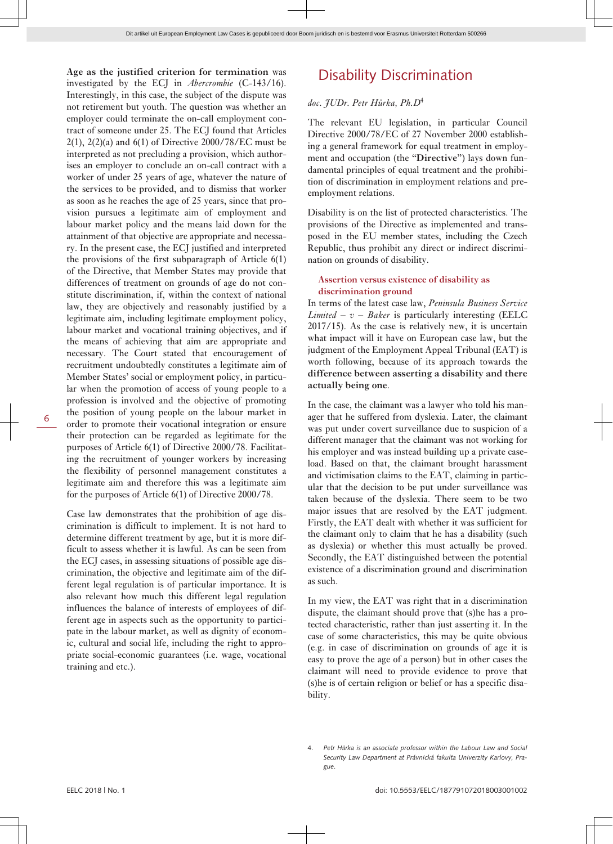**Age as the justified criterion for termination** was investigated by the ECJ in *Abercrombie* (C-143/16). Interestingly, in this case, the subject of the dispute was not retirement but youth. The question was whether an employer could terminate the on-call employment contract of someone under 25. The ECJ found that Articles 2(1), 2(2)(a) and 6(1) of Directive 2000/78/EC must be interpreted as not precluding a provision, which authorises an employer to conclude an on-call contract with a worker of under 25 years of age, whatever the nature of the services to be provided, and to dismiss that worker as soon as he reaches the age of 25 years, since that provision pursues a legitimate aim of employment and labour market policy and the means laid down for the attainment of that objective are appropriate and necessary. In the present case, the ECJ justified and interpreted the provisions of the first subparagraph of Article 6(1) of the Directive, that Member States may provide that differences of treatment on grounds of age do not constitute discrimination, if, within the context of national law, they are objectively and reasonably justified by a legitimate aim, including legitimate employment policy, labour market and vocational training objectives, and if the means of achieving that aim are appropriate and necessary. The Court stated that encouragement of recruitment undoubtedly constitutes a legitimate aim of Member States' social or employment policy, in particular when the promotion of access of young people to a profession is involved and the objective of promoting the position of young people on the labour market in order to promote their vocational integration or ensure their protection can be regarded as legitimate for the purposes of Article 6(1) of Directive 2000/78. Facilitating the recruitment of younger workers by increasing the flexibility of personnel management constitutes a legitimate aim and therefore this was a legitimate aim for the purposes of Article 6(1) of Directive 2000/78.

Case law demonstrates that the prohibition of age discrimination is difficult to implement. It is not hard to determine different treatment by age, but it is more difficult to assess whether it is lawful. As can be seen from the ECJ cases, in assessing situations of possible age discrimination, the objective and legitimate aim of the different legal regulation is of particular importance. It is also relevant how much this different legal regulation influences the balance of interests of employees of different age in aspects such as the opportunity to participate in the labour market, as well as dignity of economic, cultural and social life, including the right to appropriate social-economic guarantees (i.e. wage, vocational training and etc.).

### Disability Discrimination

#### *doc. JUDr. Petr Hůrka, Ph.D*<sup>4</sup>

The relevant EU legislation, in particular Council Directive 2000/78/EC of 27 November 2000 establishing a general framework for equal treatment in employment and occupation (the "**Directive**") lays down fundamental principles of equal treatment and the prohibition of discrimination in employment relations and preemployment relations.

Disability is on the list of protected characteristics. The provisions of the Directive as implemented and transposed in the EU member states, including the Czech Republic, thus prohibit any direct or indirect discrimination on grounds of disability.

#### **Assertion versus existence of disability as discrimination ground**

In terms of the latest case law, *Peninsula Business Service Limited – v – Baker* is particularly interesting (EELC 2017/15). As the case is relatively new, it is uncertain what impact will it have on European case law, but the judgment of the Employment Appeal Tribunal (EAT) is worth following, because of its approach towards the **difference between asserting a disability and there actually being one**.

In the case, the claimant was a lawyer who told his manager that he suffered from dyslexia. Later, the claimant was put under covert surveillance due to suspicion of a different manager that the claimant was not working for his employer and was instead building up a private caseload. Based on that, the claimant brought harassment and victimisation claims to the EAT, claiming in particular that the decision to be put under surveillance was taken because of the dyslexia. There seem to be two major issues that are resolved by the EAT judgment. Firstly, the EAT dealt with whether it was sufficient for the claimant only to claim that he has a disability (such as dyslexia) or whether this must actually be proved. Secondly, the EAT distinguished between the potential existence of a discrimination ground and discrimination as such.

In my view, the EAT was right that in a discrimination dispute, the claimant should prove that (s)he has a protected characteristic, rather than just asserting it. In the case of some characteristics, this may be quite obvious (e.g. in case of discrimination on grounds of age it is easy to prove the age of a person) but in other cases the claimant will need to provide evidence to prove that (s)he is of certain religion or belief or has a specific disability.

<sup>4.</sup> *Petr Hůrka is an associate professor within the Labour Law and Social Security Law Department at Právnická fakulta Univerzity Karlovy, Prague*.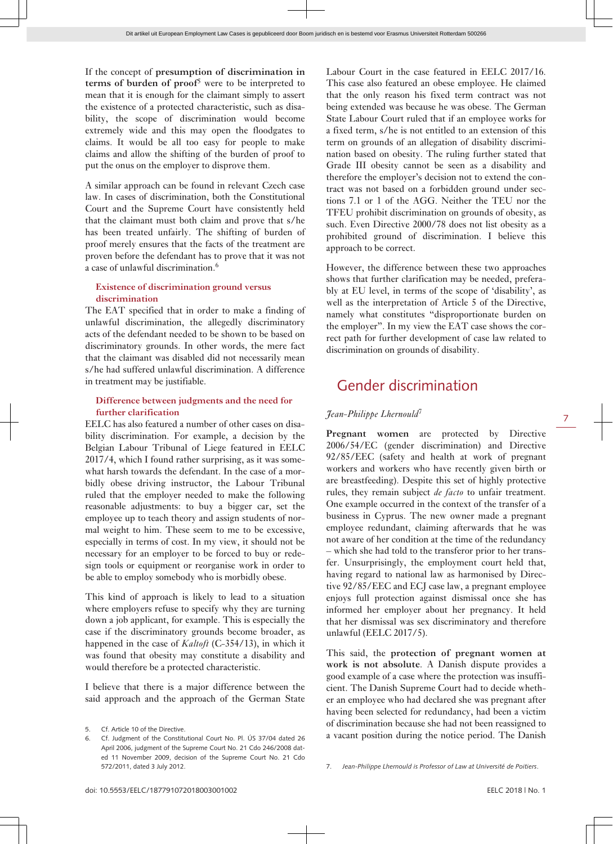If the concept of **presumption of discrimination in terms of burden of proof**<sup>5</sup> were to be interpreted to mean that it is enough for the claimant simply to assert the existence of a protected characteristic, such as disability, the scope of discrimination would become extremely wide and this may open the floodgates to claims. It would be all too easy for people to make claims and allow the shifting of the burden of proof to put the onus on the employer to disprove them.

A similar approach can be found in relevant Czech case law. In cases of discrimination, both the Constitutional Court and the Supreme Court have consistently held that the claimant must both claim and prove that s/he has been treated unfairly. The shifting of burden of proof merely ensures that the facts of the treatment are proven before the defendant has to prove that it was not a case of unlawful discrimination.<sup>6</sup>

#### **Existence of discrimination ground versus discrimination**

The EAT specified that in order to make a finding of unlawful discrimination, the allegedly discriminatory acts of the defendant needed to be shown to be based on discriminatory grounds. In other words, the mere fact that the claimant was disabled did not necessarily mean s/he had suffered unlawful discrimination. A difference in treatment may be justifiable.

#### **Difference between judgments and the need for further clarification**

EELC has also featured a number of other cases on disability discrimination. For example, a decision by the Belgian Labour Tribunal of Liege featured in EELC 2017/4, which I found rather surprising, as it was somewhat harsh towards the defendant. In the case of a morbidly obese driving instructor, the Labour Tribunal ruled that the employer needed to make the following reasonable adjustments: to buy a bigger car, set the employee up to teach theory and assign students of normal weight to him. These seem to me to be excessive, especially in terms of cost. In my view, it should not be necessary for an employer to be forced to buy or redesign tools or equipment or reorganise work in order to be able to employ somebody who is morbidly obese.

This kind of approach is likely to lead to a situation where employers refuse to specify why they are turning down a job applicant, for example. This is especially the case if the discriminatory grounds become broader, as happened in the case of *Kaltoft* (C-354/13), in which it was found that obesity may constitute a disability and would therefore be a protected characteristic.

I believe that there is a major difference between the said approach and the approach of the German State

Labour Court in the case featured in EELC 2017/16. This case also featured an obese employee. He claimed that the only reason his fixed term contract was not being extended was because he was obese. The German State Labour Court ruled that if an employee works for a fixed term, s/he is not entitled to an extension of this term on grounds of an allegation of disability discrimination based on obesity. The ruling further stated that Grade III obesity cannot be seen as a disability and therefore the employer's decision not to extend the contract was not based on a forbidden ground under sections 7.1 or 1 of the AGG. Neither the TEU nor the TFEU prohibit discrimination on grounds of obesity, as such. Even Directive 2000/78 does not list obesity as a prohibited ground of discrimination. I believe this approach to be correct.

However, the difference between these two approaches shows that further clarification may be needed, preferably at EU level, in terms of the scope of 'disability', as well as the interpretation of Article 5 of the Directive, namely what constitutes "disproportionate burden on the employer". In my view the EAT case shows the correct path for further development of case law related to discrimination on grounds of disability.

### Gender discrimination

#### *Jean-Philippe Lhernould*<sup>7</sup>

Pregnant women are protected by Directive 2006/54/EC (gender discrimination) and Directive 92/85/EEC (safety and health at work of pregnant workers and workers who have recently given birth or are breastfeeding). Despite this set of highly protective rules, they remain subject *de facto* to unfair treatment. One example occurred in the context of the transfer of a business in Cyprus. The new owner made a pregnant employee redundant, claiming afterwards that he was not aware of her condition at the time of the redundancy – which she had told to the transferor prior to her transfer. Unsurprisingly, the employment court held that, having regard to national law as harmonised by Directive 92/85/EEC and ECJ case law, a pregnant employee enjoys full protection against dismissal once she has informed her employer about her pregnancy. It held that her dismissal was sex discriminatory and therefore unlawful (EELC 2017/5).

This said, the **protection of pregnant women at work is not absolute**. A Danish dispute provides a good example of a case where the protection was insufficient. The Danish Supreme Court had to decide whether an employee who had declared she was pregnant after having been selected for redundancy, had been a victim of discrimination because she had not been reassigned to a vacant position during the notice period. The Danish

<sup>5.</sup> Cf. Article 10 of the Directive.

<sup>6.</sup> Cf. Judgment of the Constitutional Court No. Pl. ÚS 37/04 dated 26 April 2006, judgment of the Supreme Court No. 21 Cdo 246/2008 dated 11 November 2009, decision of the Supreme Court No. 21 Cdo 572/2011, dated 3 July 2012.

<sup>7.</sup> *Jean-Philippe Lhernould is Professor of Law at Université de Poitiers*.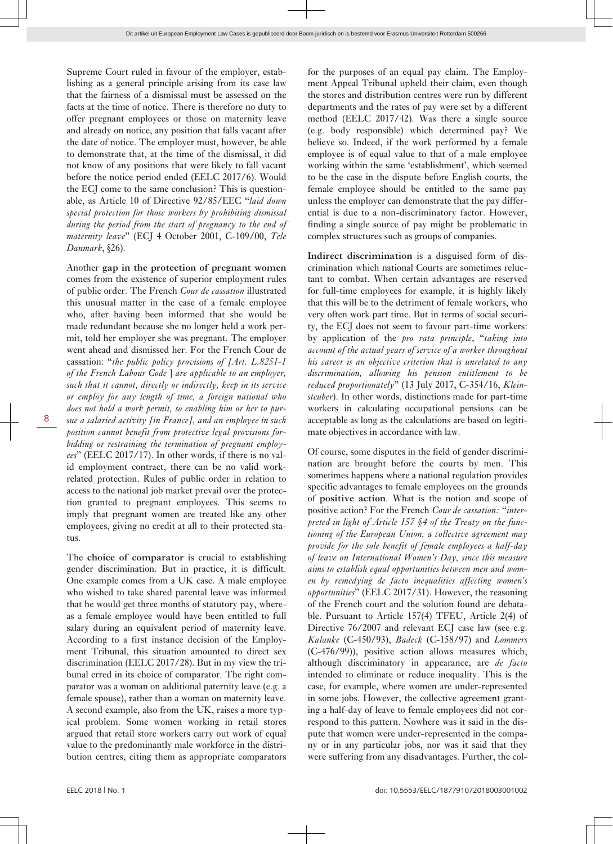Supreme Court ruled in favour of the employer, establishing as a general principle arising from its case law that the fairness of a dismissal must be assessed on the facts at the time of notice. There is therefore no duty to offer pregnant employees or those on maternity leave and already on notice, any position that falls vacant after the date of notice. The employer must, however, be able to demonstrate that, at the time of the dismissal, it did not know of any positions that were likely to fall vacant before the notice period ended (EELC 2017/6). Would the ECJ come to the same conclusion? This is questionable, as Article 10 of Directive 92/85/EEC "*laid down special protection for those workers by prohibiting dismissal during the period from the start of pregnancy to the end of maternity leave*" (ECJ 4 October 2001, C-109/00, *Tele Danmark*, §26).

Another **gap in the protection of pregnant women** comes from the existence of superior employment rules of public order. The French *Cour de cassation* illustrated this unusual matter in the case of a female employee who, after having been informed that she would be made redundant because she no longer held a work permit, told her employer she was pregnant. The employer went ahead and dismissed her. For the French Cour de cassation: "*the public policy provisions of [Art. L.8251-1 of the French Labour Code* ] *are applicable to an employer, such that it cannot, directly or indirectly, keep in its service or employ for any length of time, a foreign national who does not hold a work permit, so enabling him or her to pursue a salaried activity [in France], and an employee in such position cannot benefit from protective legal provisions forbidding or restraining the termination of pregnant employees*" (EELC 2017/17). In other words, if there is no valid employment contract, there can be no valid workrelated protection. Rules of public order in relation to access to the national job market prevail over the protection granted to pregnant employees. This seems to imply that pregnant women are treated like any other employees, giving no credit at all to their protected status.

The **choice of comparator** is crucial to establishing gender discrimination. But in practice, it is difficult. One example comes from a UK case. A male employee who wished to take shared parental leave was informed that he would get three months of statutory pay, whereas a female employee would have been entitled to full salary during an equivalent period of maternity leave. According to a first instance decision of the Employment Tribunal, this situation amounted to direct sex discrimination (EELC 2017/28). But in my view the tribunal erred in its choice of comparator. The right comparator was a woman on additional paternity leave (e.g. a female spouse), rather than a woman on maternity leave. A second example, also from the UK, raises a more typical problem. Some women working in retail stores argued that retail store workers carry out work of equal value to the predominantly male workforce in the distribution centres, citing them as appropriate comparators

for the purposes of an equal pay claim. The Employment Appeal Tribunal upheld their claim, even though the stores and distribution centres were run by different departments and the rates of pay were set by a different method (EELC 2017/42). Was there a single source (e.g. body responsible) which determined pay? We believe so. Indeed, if the work performed by a female employee is of equal value to that of a male employee working within the same 'establishment', which seemed to be the case in the dispute before English courts, the female employee should be entitled to the same pay unless the employer can demonstrate that the pay differential is due to a non-discriminatory factor. However, finding a single source of pay might be problematic in complex structures such as groups of companies.

**Indirect discrimination** is a disguised form of discrimination which national Courts are sometimes reluctant to combat. When certain advantages are reserved for full-time employees for example, it is highly likely that this will be to the detriment of female workers, who very often work part time. But in terms of social security, the ECJ does not seem to favour part-time workers: by application of the *pro rata principle*, "*taking into account of the actual years of service of a worker throughout his career is an objective criterion that is unrelated to any discrimination, allowing his pension entitlement to be reduced proportionately*" (13 July 2017, C-354/16, *Kleinsteuber*). In other words, distinctions made for part-time workers in calculating occupational pensions can be acceptable as long as the calculations are based on legitimate objectives in accordance with law.

Of course, some disputes in the field of gender discrimination are brought before the courts by men. This sometimes happens where a national regulation provides specific advantages to female employees on the grounds of **positive action**. What is the notion and scope of positive action? For the French *Cour de cassation:* "*interpreted in light of Article 157 §4 of the Treaty on the functioning of the European Union, a collective agreement may provide for the sole benefit of female employees a half-day of leave on International Women's Day, since this measure aims to establish equal opportunities between men and women by remedying de facto inequalities affecting women's opportunities*" (EELC 2017/31). However, the reasoning of the French court and the solution found are debatable. Pursuant to Article 157(4) TFEU, Article 2(4) of Directive 76/2007 and relevant ECJ case law (see e.g. *Kalanke* (C-450/93), *Badeck* (C-158/97) and *Lommers* (C-476/99)), positive action allows measures which, although discriminatory in appearance, are *de facto* intended to eliminate or reduce inequality. This is the case, for example, where women are under-represented in some jobs. However, the collective agreement granting a half-day of leave to female employees did not correspond to this pattern. Nowhere was it said in the dispute that women were under-represented in the company or in any particular jobs, nor was it said that they were suffering from any disadvantages. Further, the col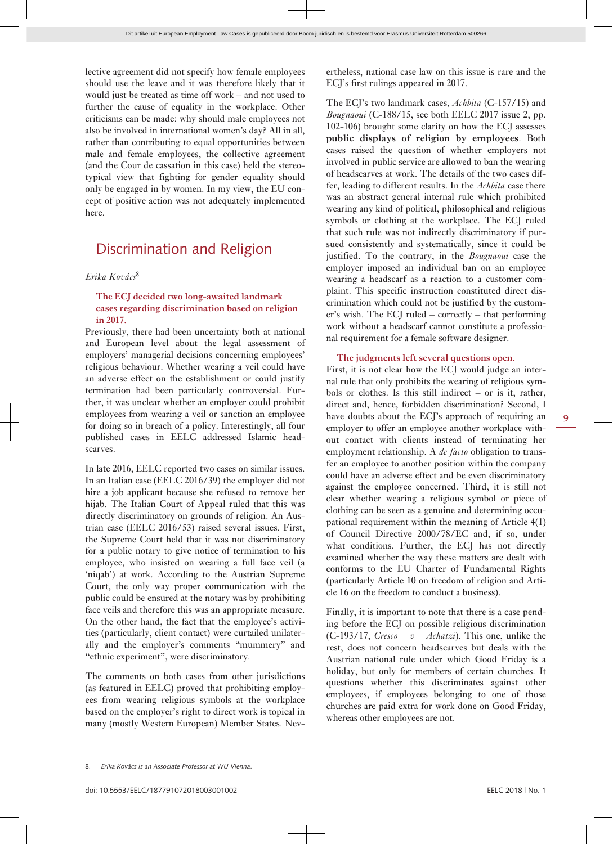lective agreement did not specify how female employees should use the leave and it was therefore likely that it would just be treated as time off work – and not used to further the cause of equality in the workplace. Other criticisms can be made: why should male employees not also be involved in international women's day? All in all, rather than contributing to equal opportunities between male and female employees, the collective agreement (and the Cour de cassation in this case) held the stereotypical view that fighting for gender equality should only be engaged in by women. In my view, the EU concept of positive action was not adequately implemented here.

### Discrimination and Religion

#### *Erika Kovács*<sup>8</sup>

#### **The ECJ decided two long-awaited landmark cases regarding discrimination based on religion in 2017.**

Previously, there had been uncertainty both at national and European level about the legal assessment of employers' managerial decisions concerning employees' religious behaviour. Whether wearing a veil could have an adverse effect on the establishment or could justify termination had been particularly controversial. Further, it was unclear whether an employer could prohibit employees from wearing a veil or sanction an employee for doing so in breach of a policy. Interestingly, all four published cases in EELC addressed Islamic headscarves.

In late 2016, EELC reported two cases on similar issues. In an Italian case (EELC 2016/39) the employer did not hire a job applicant because she refused to remove her hijab. The Italian Court of Appeal ruled that this was directly discriminatory on grounds of religion. An Austrian case (EELC 2016/53) raised several issues. First, the Supreme Court held that it was not discriminatory for a public notary to give notice of termination to his employee, who insisted on wearing a full face veil (a 'niqab') at work. According to the Austrian Supreme Court, the only way proper communication with the public could be ensured at the notary was by prohibiting face veils and therefore this was an appropriate measure. On the other hand, the fact that the employee's activities (particularly, client contact) were curtailed unilaterally and the employer's comments "mummery" and "ethnic experiment", were discriminatory.

The comments on both cases from other jurisdictions (as featured in EELC) proved that prohibiting employees from wearing religious symbols at the workplace based on the employer's right to direct work is topical in many (mostly Western European) Member States. Nev-

ertheless, national case law on this issue is rare and the ECJ's first rulings appeared in 2017.

The ECJ's two landmark cases, *Achbita* (C-157/15) and *Bougnaoui* (C-188/15, see both EELC 2017 issue 2, pp. 102-106) brought some clarity on how the ECJ assesses **public displays of religion by employees**. Both cases raised the question of whether employers not involved in public service are allowed to ban the wearing of headscarves at work. The details of the two cases differ, leading to different results. In the *Achbita* case there was an abstract general internal rule which prohibited wearing any kind of political, philosophical and religious symbols or clothing at the workplace. The ECJ ruled that such rule was not indirectly discriminatory if pursued consistently and systematically, since it could be justified. To the contrary, in the *Bougnaoui* case the employer imposed an individual ban on an employee wearing a headscarf as a reaction to a customer complaint. This specific instruction constituted direct discrimination which could not be justified by the customer's wish. The ECJ ruled – correctly – that performing work without a headscarf cannot constitute a professional requirement for a female software designer.

#### **The judgments left several questions open.**

First, it is not clear how the ECJ would judge an internal rule that only prohibits the wearing of religious symbols or clothes. Is this still indirect  $-$  or is it, rather, direct and, hence, forbidden discrimination? Second, I have doubts about the ECJ's approach of requiring an employer to offer an employee another workplace without contact with clients instead of terminating her employment relationship. A *de facto* obligation to transfer an employee to another position within the company could have an adverse effect and be even discriminatory against the employee concerned. Third, it is still not clear whether wearing a religious symbol or piece of clothing can be seen as a genuine and determining occupational requirement within the meaning of Article 4(1) of Council Directive 2000/78/EC and, if so, under what conditions. Further, the ECJ has not directly examined whether the way these matters are dealt with conforms to the EU Charter of Fundamental Rights (particularly Article 10 on freedom of religion and Article 16 on the freedom to conduct a business).

Finally, it is important to note that there is a case pending before the ECJ on possible religious discrimination  $(C-193/17, Cresco - v - Achatzi)$ . This one, unlike the rest, does not concern headscarves but deals with the Austrian national rule under which Good Friday is a holiday, but only for members of certain churches. It questions whether this discriminates against other employees, if employees belonging to one of those churches are paid extra for work done on Good Friday, whereas other employees are not.

<sup>8.</sup> *Erika Kovács is an Associate Professor at WU Vienna*.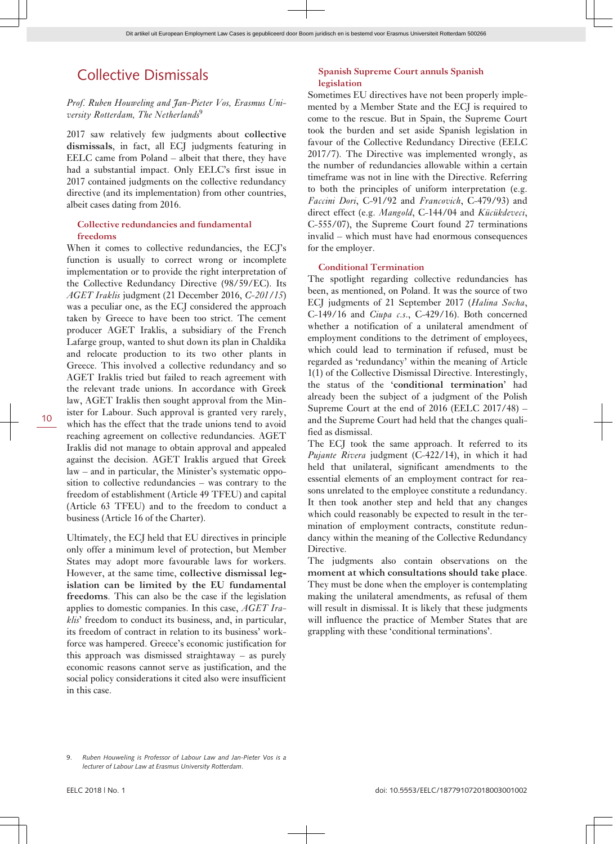### Collective Dismissals

#### *Prof. Ruben Houweling and Jan-Pieter Vos, Erasmus University Rotterdam, The Netherlands*<sup>9</sup>

2017 saw relatively few judgments about **collective dismissals**, in fact, all ECJ judgments featuring in EELC came from Poland – albeit that there, they have had a substantial impact. Only EELC's first issue in 2017 contained judgments on the collective redundancy directive (and its implementation) from other countries, albeit cases dating from 2016.

#### **Collective redundancies and fundamental freedoms**

When it comes to collective redundancies, the ECI's function is usually to correct wrong or incomplete implementation or to provide the right interpretation of the Collective Redundancy Directive (98/59/EC). Its *AGET Iraklis* judgment (21 December 2016, *C-201/15*) was a peculiar one, as the ECJ considered the approach taken by Greece to have been too strict. The cement producer AGET Iraklis, a subsidiary of the French Lafarge group, wanted to shut down its plan in Chaldika and relocate production to its two other plants in Greece. This involved a collective redundancy and so AGET Iraklis tried but failed to reach agreement with the relevant trade unions. In accordance with Greek law, AGET Iraklis then sought approval from the Minister for Labour. Such approval is granted very rarely, which has the effect that the trade unions tend to avoid reaching agreement on collective redundancies. AGET Iraklis did not manage to obtain approval and appealed against the decision. AGET Iraklis argued that Greek law – and in particular, the Minister's systematic opposition to collective redundancies – was contrary to the freedom of establishment (Article 49 TFEU) and capital (Article 63 TFEU) and to the freedom to conduct a business (Article 16 of the Charter).

Ultimately, the ECJ held that EU directives in principle only offer a minimum level of protection, but Member States may adopt more favourable laws for workers. However, at the same time, **collective dismissal legislation can be limited by the EU fundamental freedoms**. This can also be the case if the legislation applies to domestic companies. In this case, *AGET Iraklis*' freedom to conduct its business, and, in particular, its freedom of contract in relation to its business' workforce was hampered. Greece's economic justification for this approach was dismissed straightaway – as purely economic reasons cannot serve as justification, and the social policy considerations it cited also were insufficient in this case.

#### **Spanish Supreme Court annuls Spanish legislation**

Sometimes EU directives have not been properly implemented by a Member State and the ECJ is required to come to the rescue. But in Spain, the Supreme Court took the burden and set aside Spanish legislation in favour of the Collective Redundancy Directive (EELC 2017/7). The Directive was implemented wrongly, as the number of redundancies allowable within a certain timeframe was not in line with the Directive. Referring to both the principles of uniform interpretation (e.g. *Faccini Dori*, C-91/92 and *Francovich*, C-479/93) and direct effect (e.g. *Mangold*, C-144/04 and *Kücükdeveci*, C-555/07), the Supreme Court found 27 terminations invalid – which must have had enormous consequences for the employer.

#### **Conditional Termination**

The spotlight regarding collective redundancies has been, as mentioned, on Poland. It was the source of two ECJ judgments of 21 September 2017 (*Halina Socha*, C-149/16 and *Ciupa c.s*., C-429/16). Both concerned whether a notification of a unilateral amendment of employment conditions to the detriment of employees, which could lead to termination if refused, must be regarded as 'redundancy' within the meaning of Article 1(1) of the Collective Dismissal Directive. Interestingly, the status of the '**conditional termination**' had already been the subject of a judgment of the Polish Supreme Court at the end of 2016 (EELC 2017/48) – and the Supreme Court had held that the changes qualified as dismissal.

The ECJ took the same approach. It referred to its *Pujante Rivera* judgment (C-422/14), in which it had held that unilateral, significant amendments to the essential elements of an employment contract for reasons unrelated to the employee constitute a redundancy. It then took another step and held that any changes which could reasonably be expected to result in the termination of employment contracts, constitute redundancy within the meaning of the Collective Redundancy Directive.

The judgments also contain observations on the **moment at which consultations should take place**. They must be done when the employer is contemplating making the unilateral amendments, as refusal of them will result in dismissal. It is likely that these judgments will influence the practice of Member States that are grappling with these 'conditional terminations'.

<sup>9.</sup> *Ruben Houweling is Professor of Labour Law and Jan-Pieter Vos is a lecturer of Labour Law at Erasmus University Rotterdam*.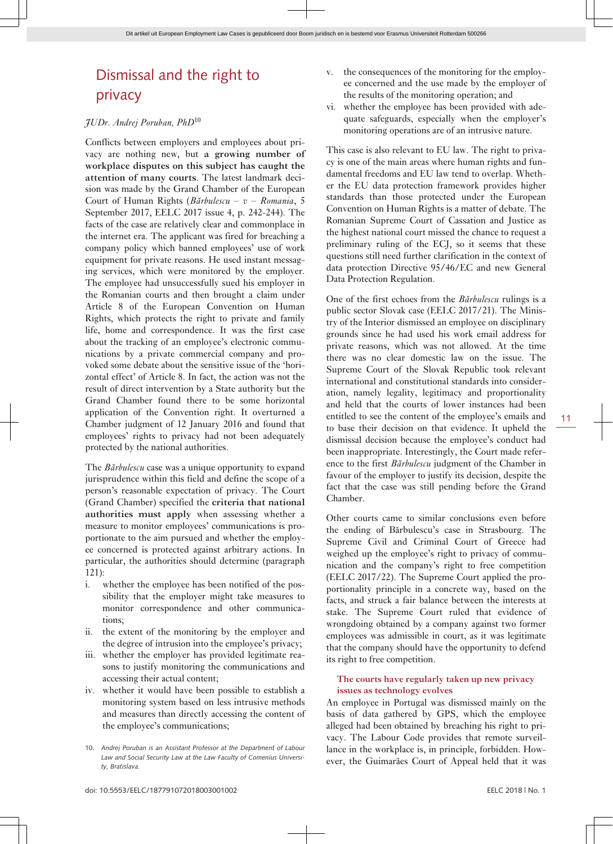### Dismissal and the right to privacy

#### *JUDr. Andrej Poruban, PhD*<sup>10</sup>

Conflicts between employers and employees about privacy are nothing new, but **a growing number of workplace disputes on this subject has caught the attention of many courts**. The latest landmark decision was made by the Grand Chamber of the European Court of Human Rights (*Bărbulescu – v – Romania*, 5 September 2017, EELC 2017 issue 4, p. 242-244). The facts of the case are relatively clear and commonplace in the internet era. The applicant was fired for breaching a company policy which banned employees' use of work equipment for private reasons. He used instant messaging services, which were monitored by the employer. The employee had unsuccessfully sued his employer in the Romanian courts and then brought a claim under Article 8 of the European Convention on Human Rights, which protects the right to private and family life, home and correspondence. It was the first case about the tracking of an employee's electronic communications by a private commercial company and provoked some debate about the sensitive issue of the 'horizontal effect' of Article 8. In fact, the action was not the result of direct intervention by a State authority but the Grand Chamber found there to be some horizontal application of the Convention right. It overturned a Chamber judgment of 12 January 2016 and found that employees' rights to privacy had not been adequately protected by the national authorities.

The *Bărbulescu* case was a unique opportunity to expand jurisprudence within this field and define the scope of a person's reasonable expectation of privacy. The Court (Grand Chamber) specified the **criteria that national authorities must apply** when assessing whether a measure to monitor employees' communications is proportionate to the aim pursued and whether the employee concerned is protected against arbitrary actions. In particular, the authorities should determine (paragraph 121):

- i. whether the employee has been notified of the possibility that the employer might take measures to monitor correspondence and other communications;
- ii. the extent of the monitoring by the employer and the degree of intrusion into the employee's privacy;
- iii. whether the employer has provided legitimate reasons to justify monitoring the communications and accessing their actual content;
- iv. whether it would have been possible to establish a monitoring system based on less intrusive methods and measures than directly accessing the content of the employee's communications;
- 10. *Andrej Poruban is an Assistant Professor at the Department of Labour Law and Social Security Law at the Law Faculty of Comenius University, Bratislava*.
- v. the consequences of the monitoring for the employee concerned and the use made by the employer of the results of the monitoring operation; and
- vi. whether the employee has been provided with adequate safeguards, especially when the employer's monitoring operations are of an intrusive nature.

This case is also relevant to EU law. The right to privacy is one of the main areas where human rights and fundamental freedoms and EU law tend to overlap. Whether the EU data protection framework provides higher standards than those protected under the European Convention on Human Rights is a matter of debate. The Romanian Supreme Court of Cassation and Justice as the highest national court missed the chance to request a preliminary ruling of the ECJ, so it seems that these questions still need further clarification in the context of data protection Directive 95/46/EC and new General Data Protection Regulation.

One of the first echoes from the *Bărbulescu* rulings is a public sector Slovak case (EELC 2017/21). The Ministry of the Interior dismissed an employee on disciplinary grounds since he had used his work email address for private reasons, which was not allowed. At the time there was no clear domestic law on the issue. The Supreme Court of the Slovak Republic took relevant international and constitutional standards into consideration, namely legality, legitimacy and proportionality and held that the courts of lower instances had been entitled to see the content of the employee's emails and to base their decision on that evidence. It upheld the dismissal decision because the employee's conduct had been inappropriate. Interestingly, the Court made reference to the first *Bărbulescu* judgment of the Chamber in favour of the employer to justify its decision, despite the fact that the case was still pending before the Grand Chamber.

Other courts came to similar conclusions even before the ending of Bărbulescu's case in Strasbourg. The Supreme Civil and Criminal Court of Greece had weighed up the employee's right to privacy of communication and the company's right to free competition (EELC 2017/22). The Supreme Court applied the proportionality principle in a concrete way, based on the facts, and struck a fair balance between the interests at stake. The Supreme Court ruled that evidence of wrongdoing obtained by a company against two former employees was admissible in court, as it was legitimate that the company should have the opportunity to defend its right to free competition.

#### **The courts have regularly taken up new privacy issues as technology evolves**

An employee in Portugal was dismissed mainly on the basis of data gathered by GPS, which the employee alleged had been obtained by breaching his right to privacy. The Labour Code provides that remote surveillance in the workplace is, in principle, forbidden. However, the Guimarães Court of Appeal held that it was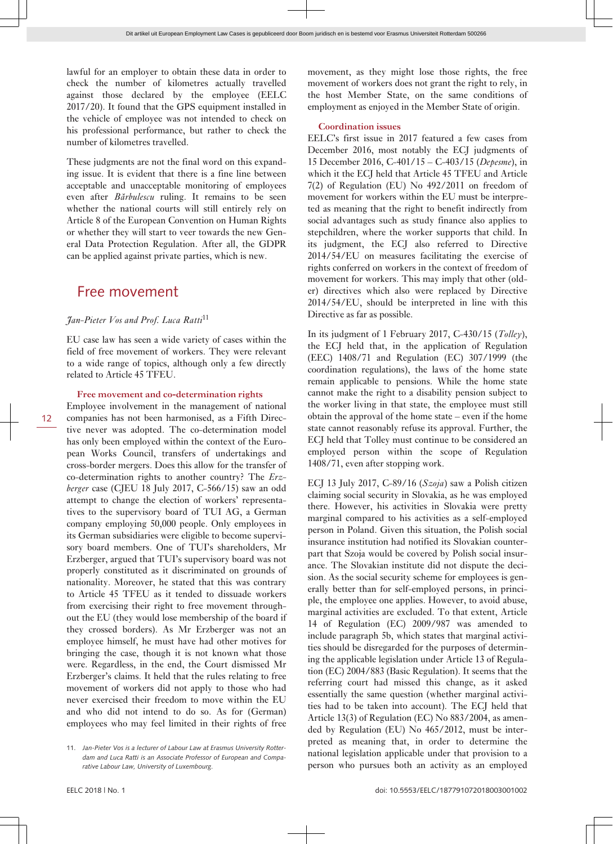lawful for an employer to obtain these data in order to check the number of kilometres actually travelled against those declared by the employee (EELC 2017/20). It found that the GPS equipment installed in the vehicle of employee was not intended to check on his professional performance, but rather to check the number of kilometres travelled.

These judgments are not the final word on this expanding issue. It is evident that there is a fine line between acceptable and unacceptable monitoring of employees even after *Bărbulescu* ruling. It remains to be seen whether the national courts will still entirely rely on Article 8 of the European Convention on Human Rights or whether they will start to veer towards the new General Data Protection Regulation. After all, the GDPR can be applied against private parties, which is new.

### Free movement

#### *Jan-Pieter Vos and Prof. Luca Ratti*<sup>11</sup>

EU case law has seen a wide variety of cases within the field of free movement of workers. They were relevant to a wide range of topics, although only a few directly related to Article 45 TFEU.

#### **Free movement and co-determination rights**

Employee involvement in the management of national companies has not been harmonised, as a Fifth Directive never was adopted. The co-determination model has only been employed within the context of the European Works Council, transfers of undertakings and cross-border mergers. Does this allow for the transfer of co-determination rights to another country? The *Erzberger* case (CJEU 18 July 2017, C-566/15) saw an odd attempt to change the election of workers' representatives to the supervisory board of TUI AG, a German company employing 50,000 people. Only employees in its German subsidiaries were eligible to become supervisory board members. One of TUI's shareholders, Mr Erzberger, argued that TUI's supervisory board was not properly constituted as it discriminated on grounds of nationality. Moreover, he stated that this was contrary to Article 45 TFEU as it tended to dissuade workers from exercising their right to free movement throughout the EU (they would lose membership of the board if they crossed borders). As Mr Erzberger was not an employee himself, he must have had other motives for bringing the case, though it is not known what those were. Regardless, in the end, the Court dismissed Mr Erzberger's claims. It held that the rules relating to free movement of workers did not apply to those who had never exercised their freedom to move within the EU and who did not intend to do so. As for (German) employees who may feel limited in their rights of free

movement, as they might lose those rights, the free movement of workers does not grant the right to rely, in the host Member State, on the same conditions of employment as enjoyed in the Member State of origin.

#### **Coordination issues**

EELC's first issue in 2017 featured a few cases from December 2016, most notably the ECJ judgments of 15 December 2016, C-401/15 – C-403/15 (*Depesme*), in which it the ECJ held that Article 45 TFEU and Article 7(2) of Regulation (EU) No 492/2011 on freedom of movement for workers within the EU must be interpreted as meaning that the right to benefit indirectly from social advantages such as study finance also applies to stepchildren, where the worker supports that child. In its judgment, the ECJ also referred to Directive 2014/54/EU on measures facilitating the exercise of rights conferred on workers in the context of freedom of movement for workers. This may imply that other (older) directives which also were replaced by Directive 2014/54/EU, should be interpreted in line with this Directive as far as possible.

In its judgment of 1 February 2017, C-430/15 (*Tolley*), the ECJ held that, in the application of Regulation (EEC) 1408/71 and Regulation (EC) 307/1999 (the coordination regulations), the laws of the home state remain applicable to pensions. While the home state cannot make the right to a disability pension subject to the worker living in that state, the employee must still obtain the approval of the home state – even if the home state cannot reasonably refuse its approval. Further, the ECJ held that Tolley must continue to be considered an employed person within the scope of Regulation 1408/71, even after stopping work.

ECJ 13 July 2017, C-89/16 (*Szoja*) saw a Polish citizen claiming social security in Slovakia, as he was employed there. However, his activities in Slovakia were pretty marginal compared to his activities as a self-employed person in Poland. Given this situation, the Polish social insurance institution had notified its Slovakian counterpart that Szoja would be covered by Polish social insurance. The Slovakian institute did not dispute the decision. As the social security scheme for employees is generally better than for self-employed persons, in principle, the employee one applies. However, to avoid abuse, marginal activities are excluded. To that extent, Article 14 of Regulation (EC) 2009/987 was amended to include paragraph 5b, which states that marginal activities should be disregarded for the purposes of determining the applicable legislation under Article 13 of Regulation (EC) 2004/883 (Basic Regulation). It seems that the referring court had missed this change, as it asked essentially the same question (whether marginal activities had to be taken into account). The ECJ held that Article 13(3) of Regulation (EC) No 883/2004, as amended by Regulation (EU) No 465/2012, must be interpreted as meaning that, in order to determine the national legislation applicable under that provision to a person who pursues both an activity as an employed

12

<sup>11.</sup> *Jan-Pieter Vos is a lecturer of Labour Law at Erasmus University Rotterdam and Luca Ratti is an Associate Professor of European and Comparative Labour Law, University of Luxembourg*.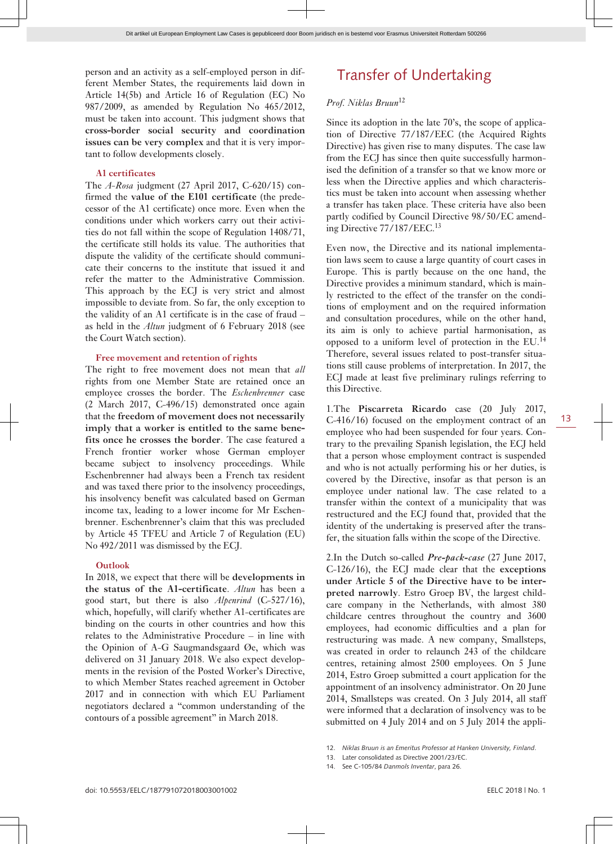person and an activity as a self-employed person in different Member States, the requirements laid down in Article 14(5b) and Article 16 of Regulation (EC) No 987/2009, as amended by Regulation No 465/2012, must be taken into account. This judgment shows that **cross-border social security and coordination issues can be very complex** and that it is very important to follow developments closely.

#### **A1 certificates**

The *A-Rosa* judgment (27 April 2017, C-620/15) confirmed the **value of the E101 certificate** (the predecessor of the A1 certificate) once more. Even when the conditions under which workers carry out their activities do not fall within the scope of Regulation 1408/71, the certificate still holds its value. The authorities that dispute the validity of the certificate should communicate their concerns to the institute that issued it and refer the matter to the Administrative Commission. This approach by the ECJ is very strict and almost impossible to deviate from. So far, the only exception to the validity of an A1 certificate is in the case of fraud – as held in the *Altun* judgment of 6 February 2018 (see the Court Watch section).

#### **Free movement and retention of rights**

The right to free movement does not mean that *all* rights from one Member State are retained once an employee crosses the border. The *Eschenbrenner* case (2 March 2017, C-496/15) demonstrated once again that the **freedom of movement does not necessarily imply that a worker is entitled to the same benefits once he crosses the border**. The case featured a French frontier worker whose German employer became subject to insolvency proceedings. While Eschenbrenner had always been a French tax resident and was taxed there prior to the insolvency proceedings, his insolvency benefit was calculated based on German income tax, leading to a lower income for Mr Eschenbrenner. Eschenbrenner's claim that this was precluded by Article 45 TFEU and Article 7 of Regulation (EU) No 492/2011 was dismissed by the ECJ.

#### **Outlook**

In 2018, we expect that there will be **developments in the status of the A1-certificate**. *Altun* has been a good start, but there is also *Alpenrind* (C-527/16), which, hopefully, will clarify whether A1-certificates are binding on the courts in other countries and how this relates to the Administrative Procedure – in line with the Opinion of A-G Saugmandsgaard Øe, which was delivered on 31 January 2018. We also expect developments in the revision of the Posted Worker's Directive, to which Member States reached agreement in October 2017 and in connection with which EU Parliament negotiators declared a "common understanding of the contours of a possible agreement" in March 2018.

### Transfer of Undertaking

#### *Prof. Niklas Bruun*<sup>12</sup>

Since its adoption in the late 70's, the scope of application of Directive 77/187/EEC (the Acquired Rights Directive) has given rise to many disputes. The case law from the ECJ has since then quite successfully harmonised the definition of a transfer so that we know more or less when the Directive applies and which characteristics must be taken into account when assessing whether a transfer has taken place. These criteria have also been partly codified by Council Directive 98/50/EC amending Directive 77/187/EEC.<sup>13</sup>

Even now, the Directive and its national implementation laws seem to cause a large quantity of court cases in Europe. This is partly because on the one hand, the Directive provides a minimum standard, which is mainly restricted to the effect of the transfer on the conditions of employment and on the required information and consultation procedures, while on the other hand, its aim is only to achieve partial harmonisation, as opposed to a uniform level of protection in the EU.<sup>14</sup> Therefore, several issues related to post-transfer situations still cause problems of interpretation. In 2017, the ECJ made at least five preliminary rulings referring to this Directive.

1.The **Piscarreta Ricardo** case (20 July 2017, C-416/16) focused on the employment contract of an employee who had been suspended for four years. Contrary to the prevailing Spanish legislation, the ECJ held that a person whose employment contract is suspended and who is not actually performing his or her duties, is covered by the Directive, insofar as that person is an employee under national law. The case related to a transfer within the context of a municipality that was restructured and the ECJ found that, provided that the identity of the undertaking is preserved after the transfer, the situation falls within the scope of the Directive.

2.In the Dutch so-called *Pre-pack-case* (27 June 2017, C-126/16), the ECJ made clear that the **exceptions under Article 5 of the Directive have to be interpreted narrowly**. Estro Groep BV, the largest childcare company in the Netherlands, with almost 380 childcare centres throughout the country and 3600 employees, had economic difficulties and a plan for restructuring was made. A new company, Smallsteps, was created in order to relaunch 243 of the childcare centres, retaining almost 2500 employees. On 5 June 2014, Estro Groep submitted a court application for the appointment of an insolvency administrator. On 20 June 2014, Smallsteps was created. On 3 July 2014, all staff were informed that a declaration of insolvency was to be submitted on 4 July 2014 and on 5 July 2014 the appli-

<sup>12.</sup> *Niklas Bruun is an Emeritus Professor at Hanken University, Finland*.

<sup>13.</sup> Later consolidated as Directive 2001/23/EC.

<sup>14.</sup> See C-105/84 *Danmols Inventar*, para 26.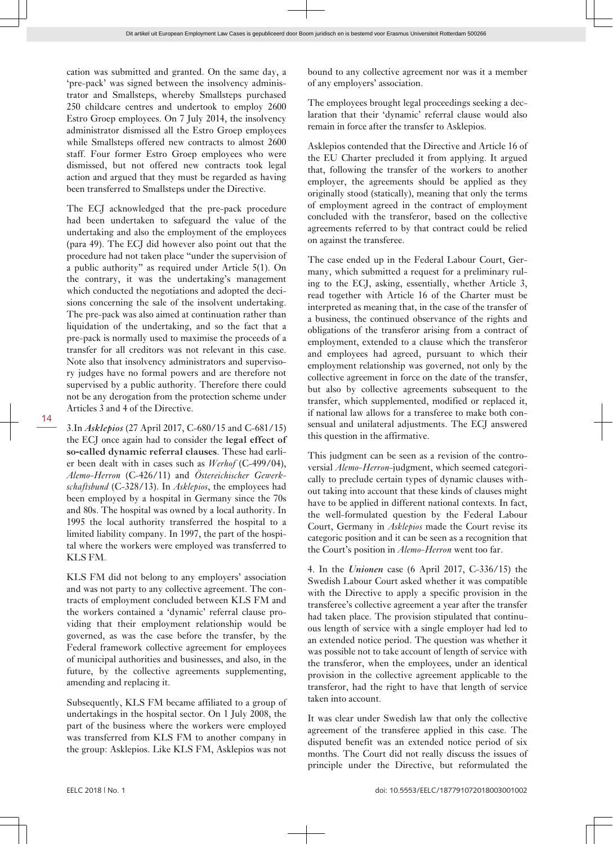cation was submitted and granted. On the same day, a 'pre-pack' was signed between the insolvency administrator and Smallsteps, whereby Smallsteps purchased 250 childcare centres and undertook to employ 2600 Estro Groep employees. On 7 July 2014, the insolvency administrator dismissed all the Estro Groep employees while Smallsteps offered new contracts to almost 2600 staff. Four former Estro Groep employees who were dismissed, but not offered new contracts took legal action and argued that they must be regarded as having been transferred to Smallsteps under the Directive.

The ECJ acknowledged that the pre-pack procedure had been undertaken to safeguard the value of the undertaking and also the employment of the employees (para 49). The ECJ did however also point out that the procedure had not taken place "under the supervision of a public authority" as required under Article 5(1). On the contrary, it was the undertaking's management which conducted the negotiations and adopted the decisions concerning the sale of the insolvent undertaking. The pre-pack was also aimed at continuation rather than liquidation of the undertaking, and so the fact that a pre-pack is normally used to maximise the proceeds of a transfer for all creditors was not relevant in this case. Note also that insolvency administrators and supervisory judges have no formal powers and are therefore not supervised by a public authority. Therefore there could not be any derogation from the protection scheme under Articles 3 and 4 of the Directive.

3.In *Asklepios* (27 April 2017, C-680/15 and C-681/15) the ECJ once again had to consider the **legal effect of so-called dynamic referral clauses**. These had earlier been dealt with in cases such as *Werhof* (C-499/04), *Alemo-Herron* (C-426/11) and *Östereichischer Gewerkschaftsbund* (C-328/13). In *Asklepios*, the employees had been employed by a hospital in Germany since the 70s and 80s. The hospital was owned by a local authority. In 1995 the local authority transferred the hospital to a limited liability company. In 1997, the part of the hospital where the workers were employed was transferred to KLS FM.

KLS FM did not belong to any employers' association and was not party to any collective agreement. The contracts of employment concluded between KLS FM and the workers contained a 'dynamic' referral clause providing that their employment relationship would be governed, as was the case before the transfer, by the Federal framework collective agreement for employees of municipal authorities and businesses, and also, in the future, by the collective agreements supplementing, amending and replacing it.

Subsequently, KLS FM became affiliated to a group of undertakings in the hospital sector. On 1 July 2008, the part of the business where the workers were employed was transferred from KLS FM to another company in the group: Asklepios. Like KLS FM, Asklepios was not

bound to any collective agreement nor was it a member of any employers' association.

The employees brought legal proceedings seeking a declaration that their 'dynamic' referral clause would also remain in force after the transfer to Asklepios.

Asklepios contended that the Directive and Article 16 of the EU Charter precluded it from applying. It argued that, following the transfer of the workers to another employer, the agreements should be applied as they originally stood (statically), meaning that only the terms of employment agreed in the contract of employment concluded with the transferor, based on the collective agreements referred to by that contract could be relied on against the transferee.

The case ended up in the Federal Labour Court, Germany, which submitted a request for a preliminary ruling to the ECJ, asking, essentially, whether Article 3, read together with Article 16 of the Charter must be interpreted as meaning that, in the case of the transfer of a business, the continued observance of the rights and obligations of the transferor arising from a contract of employment, extended to a clause which the transferor and employees had agreed, pursuant to which their employment relationship was governed, not only by the collective agreement in force on the date of the transfer, but also by collective agreements subsequent to the transfer, which supplemented, modified or replaced it, if national law allows for a transferee to make both consensual and unilateral adjustments. The ECJ answered this question in the affirmative.

This judgment can be seen as a revision of the controversial *Alemo-Herron*-judgment, which seemed categorically to preclude certain types of dynamic clauses without taking into account that these kinds of clauses might have to be applied in different national contexts. In fact, the well-formulated question by the Federal Labour Court, Germany in *Asklepios* made the Court revise its categoric position and it can be seen as a recognition that the Court's position in *Alemo-Herron* went too far.

4. In the *Unionen* case (6 April 2017, C-336/15) the Swedish Labour Court asked whether it was compatible with the Directive to apply a specific provision in the transferee's collective agreement a year after the transfer had taken place. The provision stipulated that continuous length of service with a single employer had led to an extended notice period. The question was whether it was possible not to take account of length of service with the transferor, when the employees, under an identical provision in the collective agreement applicable to the transferor, had the right to have that length of service taken into account.

It was clear under Swedish law that only the collective agreement of the transferee applied in this case. The disputed benefit was an extended notice period of six months. The Court did not really discuss the issues of principle under the Directive, but reformulated the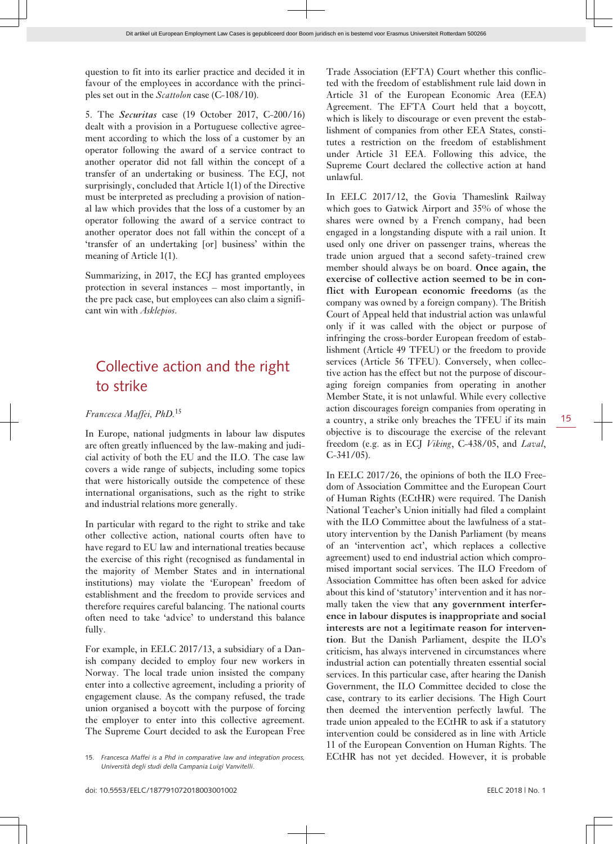question to fit into its earlier practice and decided it in favour of the employees in accordance with the principles set out in the *Scattolon* case (C-108/10).

5. The *Securitas* case (19 October 2017, C-200/16) dealt with a provision in a Portuguese collective agreement according to which the loss of a customer by an operator following the award of a service contract to another operator did not fall within the concept of a transfer of an undertaking or business. The ECJ, not surprisingly, concluded that Article 1(1) of the Directive must be interpreted as precluding a provision of national law which provides that the loss of a customer by an operator following the award of a service contract to another operator does not fall within the concept of a 'transfer of an undertaking [or] business' within the meaning of Article 1(1).

Summarizing, in 2017, the ECJ has granted employees protection in several instances – most importantly, in the pre pack case, but employees can also claim a significant win with *Asklepios*.

### Collective action and the right to strike

#### *Francesca Maffei, PhD.*<sup>15</sup>

In Europe, national judgments in labour law disputes are often greatly influenced by the law-making and judicial activity of both the EU and the ILO. The case law covers a wide range of subjects, including some topics that were historically outside the competence of these international organisations, such as the right to strike and industrial relations more generally.

In particular with regard to the right to strike and take other collective action, national courts often have to have regard to EU law and international treaties because the exercise of this right (recognised as fundamental in the majority of Member States and in international institutions) may violate the 'European' freedom of establishment and the freedom to provide services and therefore requires careful balancing. The national courts often need to take 'advice' to understand this balance fully.

For example, in EELC 2017/13, a subsidiary of a Danish company decided to employ four new workers in Norway. The local trade union insisted the company enter into a collective agreement, including a priority of engagement clause. As the company refused, the trade union organised a boycott with the purpose of forcing the employer to enter into this collective agreement. The Supreme Court decided to ask the European Free Trade Association (EFTA) Court whether this conflicted with the freedom of establishment rule laid down in Article 31 of the European Economic Area (EEA) Agreement. The EFTA Court held that a boycott, which is likely to discourage or even prevent the establishment of companies from other EEA States, constitutes a restriction on the freedom of establishment under Article 31 EEA. Following this advice, the Supreme Court declared the collective action at hand unlawful.

In EELC 2017/12, the Govia Thameslink Railway which goes to Gatwick Airport and 35% of whose the shares were owned by a French company, had been engaged in a longstanding dispute with a rail union. It used only one driver on passenger trains, whereas the trade union argued that a second safety-trained crew member should always be on board. **Once again, the exercise of collective action seemed to be in conflict with European economic freedoms** (as the company was owned by a foreign company). The British Court of Appeal held that industrial action was unlawful only if it was called with the object or purpose of infringing the cross-border European freedom of establishment (Article 49 TFEU) or the freedom to provide services (Article 56 TFEU). Conversely, when collective action has the effect but not the purpose of discouraging foreign companies from operating in another Member State, it is not unlawful. While every collective action discourages foreign companies from operating in a country, a strike only breaches the TFEU if its main objective is to discourage the exercise of the relevant freedom (e.g. as in ECJ *Viking*, C-438/05, and *Laval*, C-341/05).

In EELC 2017/26, the opinions of both the ILO Freedom of Association Committee and the European Court of Human Rights (ECtHR) were required. The Danish National Teacher's Union initially had filed a complaint with the ILO Committee about the lawfulness of a statutory intervention by the Danish Parliament (by means of an 'intervention act', which replaces a collective agreement) used to end industrial action which compromised important social services. The ILO Freedom of Association Committee has often been asked for advice about this kind of 'statutory' intervention and it has normally taken the view that **any government interference in labour disputes is inappropriate and social interests are not a legitimate reason for intervention**. But the Danish Parliament, despite the ILO's criticism, has always intervened in circumstances where industrial action can potentially threaten essential social services. In this particular case, after hearing the Danish Government, the ILO Committee decided to close the case, contrary to its earlier decisions. The High Court then deemed the intervention perfectly lawful. The trade union appealed to the ECtHR to ask if a statutory intervention could be considered as in line with Article 11 of the European Convention on Human Rights. The ECtHR has not yet decided. However, it is probable

<sup>15.</sup> *Francesca Maffei is a Phd in comparative law and integration process, Università degli studi della Campania Luigi Vanvitelli*.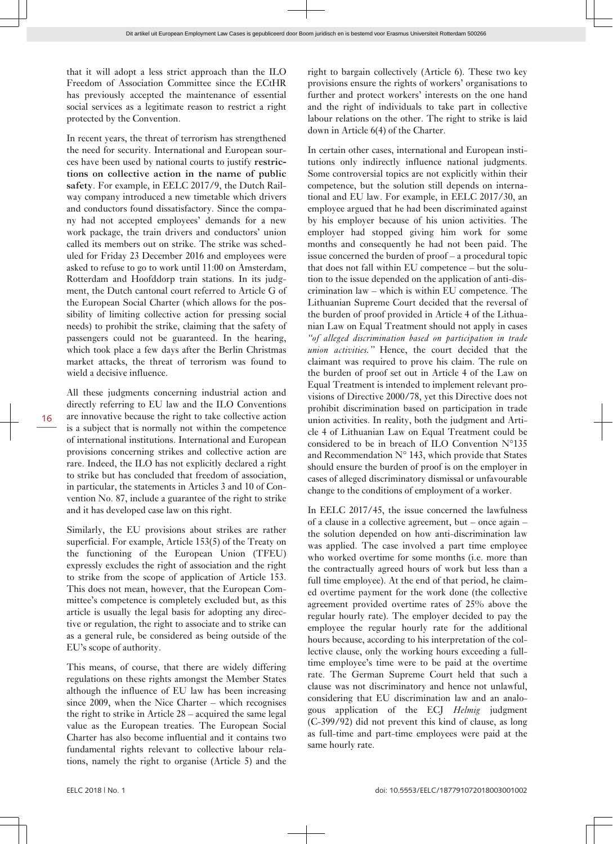that it will adopt a less strict approach than the ILO Freedom of Association Committee since the ECtHR has previously accepted the maintenance of essential social services as a legitimate reason to restrict a right protected by the Convention.

In recent years, the threat of terrorism has strengthened the need for security. International and European sources have been used by national courts to justify **restrictions on collective action in the name of public safety**. For example, in EELC 2017/9, the Dutch Railway company introduced a new timetable which drivers and conductors found dissatisfactory. Since the company had not accepted employees' demands for a new work package, the train drivers and conductors' union called its members out on strike. The strike was scheduled for Friday 23 December 2016 and employees were asked to refuse to go to work until 11:00 on Amsterdam, Rotterdam and Hoofddorp train stations. In its judgment, the Dutch cantonal court referred to Article G of the European Social Charter (which allows for the possibility of limiting collective action for pressing social needs) to prohibit the strike, claiming that the safety of passengers could not be guaranteed. In the hearing, which took place a few days after the Berlin Christmas market attacks, the threat of terrorism was found to wield a decisive influence.

All these judgments concerning industrial action and directly referring to EU law and the ILO Conventions are innovative because the right to take collective action is a subject that is normally not within the competence of international institutions. International and European provisions concerning strikes and collective action are rare. Indeed, the ILO has not explicitly declared a right to strike but has concluded that freedom of association, in particular, the statements in Articles 3 and 10 of Convention No. 87, include a guarantee of the right to strike and it has developed case law on this right.

Similarly, the EU provisions about strikes are rather superficial. For example, Article 153(5) of the Treaty on the functioning of the European Union (TFEU) expressly excludes the right of association and the right to strike from the scope of application of Article 153. This does not mean, however, that the European Committee's competence is completely excluded but, as this article is usually the legal basis for adopting any directive or regulation, the right to associate and to strike can as a general rule, be considered as being outside of the EU's scope of authority.

This means, of course, that there are widely differing regulations on these rights amongst the Member States although the influence of EU law has been increasing since 2009, when the Nice Charter – which recognises the right to strike in Article 28 – acquired the same legal value as the European treaties. The European Social Charter has also become influential and it contains two fundamental rights relevant to collective labour relations, namely the right to organise (Article 5) and the right to bargain collectively (Article 6). These two key provisions ensure the rights of workers' organisations to further and protect workers' interests on the one hand and the right of individuals to take part in collective labour relations on the other. The right to strike is laid down in Article 6(4) of the Charter.

In certain other cases, international and European institutions only indirectly influence national judgments. Some controversial topics are not explicitly within their competence, but the solution still depends on international and EU law. For example, in EELC 2017/30, an employee argued that he had been discriminated against by his employer because of his union activities. The employer had stopped giving him work for some months and consequently he had not been paid. The issue concerned the burden of proof – a procedural topic that does not fall within EU competence – but the solution to the issue depended on the application of anti-discrimination law – which is within EU competence. The Lithuanian Supreme Court decided that the reversal of the burden of proof provided in Article 4 of the Lithuanian Law on Equal Treatment should not apply in cases *"of alleged discrimination based on participation in trade union activities."* Hence, the court decided that the claimant was required to prove his claim. The rule on the burden of proof set out in Article 4 of the Law on Equal Treatment is intended to implement relevant provisions of Directive 2000/78, yet this Directive does not prohibit discrimination based on participation in trade union activities. In reality, both the judgment and Article 4 of Lithuanian Law on Equal Treatment could be considered to be in breach of ILO Convention N°135 and Recommendation  $N^{\circ}$  143, which provide that States should ensure the burden of proof is on the employer in cases of alleged discriminatory dismissal or unfavourable change to the conditions of employment of a worker.

In EELC 2017/45, the issue concerned the lawfulness of a clause in a collective agreement, but – once again – the solution depended on how anti-discrimination law was applied. The case involved a part time employee who worked overtime for some months (i.e. more than the contractually agreed hours of work but less than a full time employee). At the end of that period, he claimed overtime payment for the work done (the collective agreement provided overtime rates of 25% above the regular hourly rate). The employer decided to pay the employee the regular hourly rate for the additional hours because, according to his interpretation of the collective clause, only the working hours exceeding a fulltime employee's time were to be paid at the overtime rate. The German Supreme Court held that such a clause was not discriminatory and hence not unlawful, considering that EU discrimination law and an analogous application of the ECJ *Helmig* judgment (C-399/92) did not prevent this kind of clause, as long as full-time and part-time employees were paid at the same hourly rate.